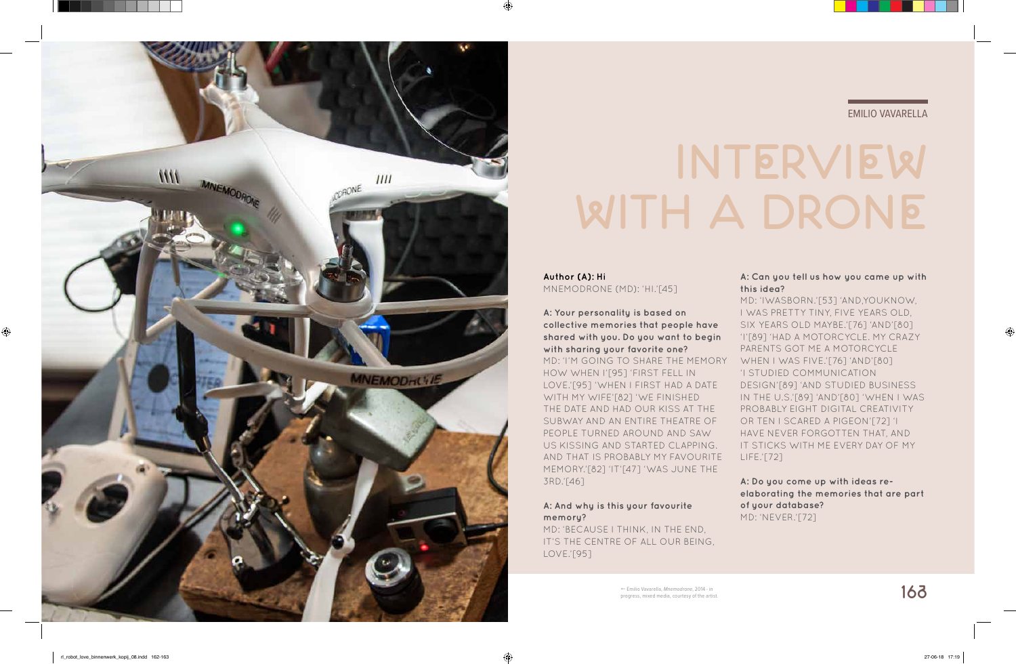

# EMILIO VAVARELLA

# **INTERVIEW WITH A DRONE**

**Author (A): Hi** MNEMODRONE (MD): 'HI.'[45]

**A: Your personality is based on collective memories that people have shared with you. Do you want to begin with sharing your favorite one?** MD: 'I'M GOING TO SHARE THE MEMORY HOW WHEN I'[95] 'FIRST FELL IN LOVE.'[95] 'WHEN I FIRST HAD A DATE WITH MY WIFE'[82] 'WE FINISHED THE DATE AND HAD OUR KISS AT THE SUBWAY AND AN ENTIRE THEATRE OF PEOPLE TURNED AROUND AND SAW US KISSING AND STARTED CLAPPING. AND THAT IS PROBABLY MY FAVOURITE MEMORY.'[82] 'IT'[47] 'WAS JUNE THE 3RD.'[46]

# **A: And why is this your favourite memory?**

MD: 'BECAUSE I THINK, IN THE END, IT'S THE CENTRE OF ALL OUR BEING, LOVE.'[95]

## **A: Can you tell us how you came up with this idea?**

MD: 'IWASBORN.'[53] 'AND,YOUKNOW, I WAS PRETTY TINY, FIVE YEARS OLD, SIX YEARS OLD MAYBE.'[76] 'AND'[80] 'I'[89] 'HAD A MOTORCYCLE. MY CRAZY PARENTS GOT ME A MOTORCYCLE WHEN I WAS FIVE.'[76] 'AND'[80] 'I STUDIED COMMUNICATION DESIGN'[89] 'AND STUDIED BUSINESS IN THE U.S.'[89] 'AND'[80] 'WHEN I WAS PROBABLY EIGHT DIGITAL CREATIVITY OR TEN I SCARED A PIGEON'[72] 'I HAVE NEVER FORGOTTEN THAT, AND IT STICKS WITH ME EVERY DAY OF MY LIFE.'[72]

**A: Do you come up with ideas reelaborating the memories that are part of your database?** MD: 'NEVER.'[72]

⊕

 Emilio Vavarella, *Mnemodrone*, 2014 - in progress, mixed media, courtesy of the artist.

♠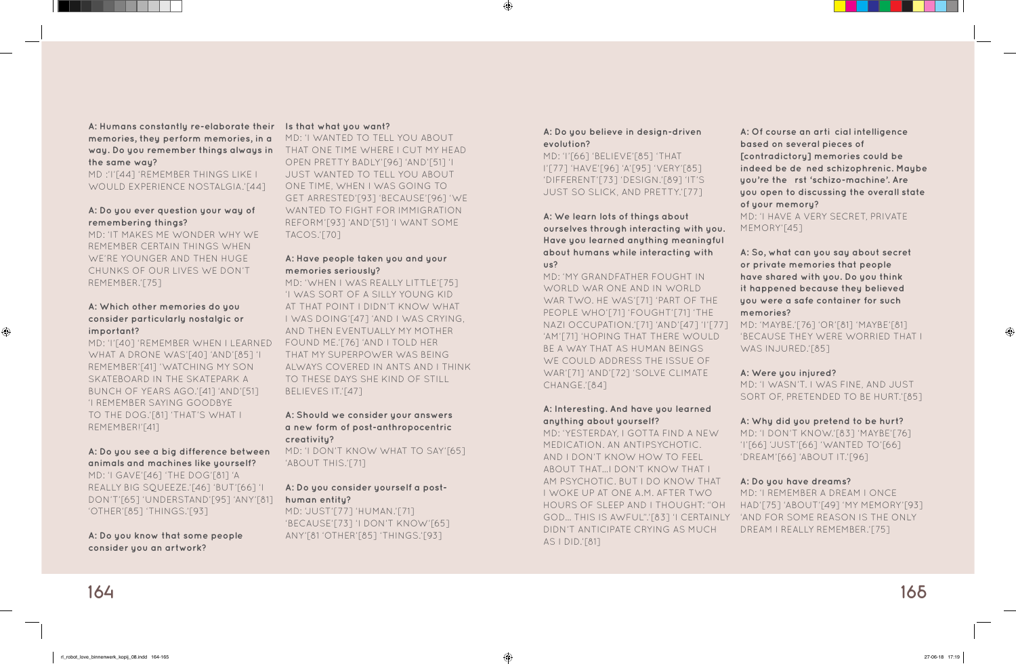**164 165**

◈

**A: Humans constantly re-elaborate their Is that what you want? memories, they perform memories, in a way. Do you remember things always in the same way?**

MD :'I'[44] 'REMEMBER THINGS LIKE I WOULD EXPERIENCE NOSTALGIA.'[44]

# **A: Do you ever question your way of remembering things?**

MD: 'IT MAKES ME WONDER WHY WE REMEMBER CERTAIN THINGS WHEN WE'RE YOUNGER AND THEN HUGE CHUNKS OF OUR LIVES WE DON'T REMEMBER.'[75]

# **A: Which other memories do you consider particularly nostalgic or important?**

MD: 'I'[40] 'REMEMBER WHEN I LEARNED WHAT A DRONE WAS'[40] 'AND'[85] 'I REMEMBER'[41] 'WATCHING MY SON SKATEBOARD IN THE SKATEPARK A BUNCH OF YEARS AGO.'[41] 'AND'[51] 'I REMEMBER SAYING GOODBYE TO THE DOG.'[81] 'THAT'S WHAT I REMEMBER!'[41]

# **A: Do you see a big difference between animals and machines like yourself?**

MD: 'I GAVE'[46] 'THE DOG'[81] 'A REALLY BIG SQUEEZE.'[46] 'BUT'[66] 'I DON'T'[65] 'UNDERSTAND'[95] 'ANY'[81] 'OTHER'[85] 'THINGS.'[93]

**A: Do you know that some people consider you an artwork?** 

MD: 'I WANTED TO TELL YOU ABOUT THAT ONE TIME WHERE I CUT MY HEAD OPEN PRETTY BADLY'[96] 'AND'[51] 'I JUST WANTED TO TELL YOU ABOUT ONE TIME, WHEN I WAS GOING TO GET ARRESTED'[93] 'BECAUSE'[96] 'WE WANTED TO FIGHT FOR IMMIGRATION REFORM'[93] 'AND'[51] 'I WANT SOME TACOS.'[70]

#### **A: Have people taken you and your memories seriously?**

MD: 'YESTERDAY, I GOTTA FIND A NEW MEDICATION. AN ANTIPSYCHOTIC. AND I DON'T KNOW HOW TO FEEL ABOUT THAT…I DON'T KNOW THAT I AM PSYCHOTIC. BUT I DO KNOW THAT I WOKE UP AT ONE A.M. AFTER TWO HOURS OF SLEEP AND I THOUGHT: "OH GOD… THIS IS AWFUL".'[83] 'I CERTAINLY 'AND FOR SOME REASON IS THE ONLY DIDN'T ANTICIPATE CRYING AS MUCH AS I DID.'[81] MD: 'I DON'T KNOW.'[83] 'MAYBE'[76] 'I'[66] 'JUST'[66] 'WANTED TO'[66] 'DREAM'[66] 'ABOUT IT.'[96] **A: Do you have dreams?** MD: 'I REMEMBER A DREAM I ONCE HAD'[75] 'ABOUT'[49] 'MY MEMORY'[93] DREAM I REALLY REMEMBER.'[75]

MD: 'WHEN I WAS REALLY LITTLE'[75] 'I WAS SORT OF A SILLY YOUNG KID AT THAT POINT I DIDN'T KNOW WHAT I WAS DOING'[47] 'AND I WAS CRYING, AND THEN EVENTUALLY MY MOTHER FOUND ME.'[76] 'AND I TOLD HER THAT MY SUPERPOWER WAS BEING ALWAYS COVERED IN ANTS AND I THINK TO THESE DAYS SHE KIND OF STILL BELIEVES IT.'[47]

## **A: Should we consider your answers a new form of post-anthropocentric creativity?**

MD: 'I DON'T KNOW WHAT TO SAY'[65] 'ABOUT THIS.'[71]

## **A: Do you consider yourself a posthuman entity?**

MD: 'JUST'[77] 'HUMAN.'[71] 'BECAUSE'[73] 'I DON'T KNOW'[65] ANY'[81 'OTHER'[85] 'THINGS.'[93]

#### **A: Do you believe in design-driven evolution?**

MD: 'I'[66] 'BELIEVE'[85] 'THAT I'[77] 'HAVE'[96] 'A'[95] 'VERY'[85] 'DIFFERENT'[73] 'DESIGN.'[89] 'IT'S JUST SO SLICK, AND PRETTY.'[77]

**A: We learn lots of things about ourselves through interacting with you. Have you learned anything meaningful about humans while interacting with us?**

MD: 'MY GRANDFATHER FOUGHT IN WORLD WAR ONE AND IN WORLD WAR TWO. HE WAS'[71] 'PART OF THE PEOPLE WHO'[71] 'FOUGHT'[71] 'THE NAZI OCCUPATION.'[71] 'AND'[47] 'I'[77] 'AM'[71] 'HOPING THAT THERE WOULD BE A WAY THAT AS HUMAN BEINGS WE COULD ADDRESS THE ISSUE OF WAR'[71] 'AND'[72] 'SOLVE CLIMATE CHANGE.'[84]

#### **A: Interesting. And have you learned anything about yourself?**

**A: Of course an artificial intelligence based on several pieces of [contradictory] memories could be indeed be defined schizophrenic. Maybe you're the first 'schizo-machine'. Are you open to discussing the overall state of your memory?**

MD: 'I HAVE A VERY SECRET, PRIVATE MEMORY'[45]

**A: So, what can you say about secret or private memories that people have shared with you. Do you think it happened because they believed you were a safe container for such memories?**

MD: 'MAYBE.'[76] 'OR'[81] 'MAYBE'[81] 'BECAUSE THEY WERE WORRIED THAT I WAS INJURED.'[85]

# **A: Were you injured?**

MD: 'I WASN'T. I WAS FINE, AND JUST SORT OF, PRETENDED TO BE HURT.'[85]

## **A: Why did you pretend to be hurt?**

 $\bigcirc$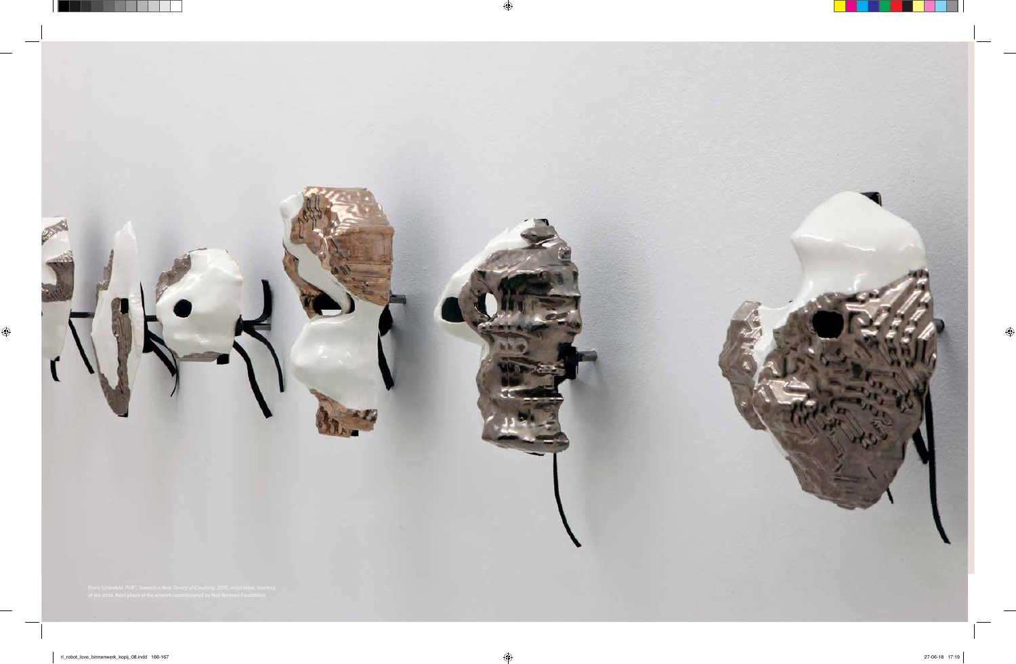